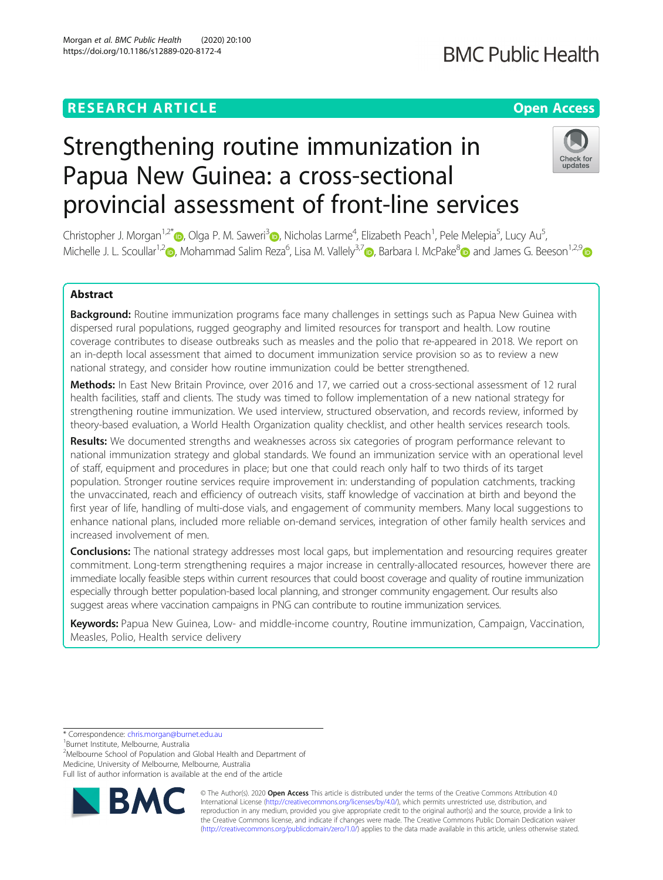# **RESEARCH ARTICLE Example 2014 12:30 The Contract of Contract ACCESS**

# Strengthening routine immunization in Papua New Guinea: a cross-sectional provincial assessment of front-line services

Christopher J. Morgan<sup>1,2[\\*](https://orcid.org/0000-0003-0931-5474)</sup>®, Olga P. M. Saweri<sup>[3](https://orcid.org/0000-0001-5142-8355)</sup>®, Nicholas Larme<sup>4</sup>, Elizabeth Peach<sup>1</sup>, Pele Melepia<sup>5</sup>, Lucy Au<sup>5</sup> , Michelle J. L. Scoullar<sup>1,2</sup> , Mohammad Salim Reza<sup>6</sup>, Lisa M. Vallely<sup>3,[7](https://orcid.org/0000-0002-8247-7683)</sup> , Barbara I. McPake<sup>8</sup> and James G. Beeson<sup>1,2,[9](http://orcid.org/0000-0002-1018-7898)</sup>

## Abstract

Background: Routine immunization programs face many challenges in settings such as Papua New Guinea with dispersed rural populations, rugged geography and limited resources for transport and health. Low routine coverage contributes to disease outbreaks such as measles and the polio that re-appeared in 2018. We report on an in-depth local assessment that aimed to document immunization service provision so as to review a new national strategy, and consider how routine immunization could be better strengthened.

Methods: In East New Britain Province, over 2016 and 17, we carried out a cross-sectional assessment of 12 rural health facilities, staff and clients. The study was timed to follow implementation of a new national strategy for strengthening routine immunization. We used interview, structured observation, and records review, informed by theory-based evaluation, a World Health Organization quality checklist, and other health services research tools.

Results: We documented strengths and weaknesses across six categories of program performance relevant to national immunization strategy and global standards. We found an immunization service with an operational level of staff, equipment and procedures in place; but one that could reach only half to two thirds of its target population. Stronger routine services require improvement in: understanding of population catchments, tracking the unvaccinated, reach and efficiency of outreach visits, staff knowledge of vaccination at birth and beyond the first year of life, handling of multi-dose vials, and engagement of community members. Many local suggestions to enhance national plans, included more reliable on-demand services, integration of other family health services and increased involvement of men.

Conclusions: The national strategy addresses most local gaps, but implementation and resourcing requires greater commitment. Long-term strengthening requires a major increase in centrally-allocated resources, however there are immediate locally feasible steps within current resources that could boost coverage and quality of routine immunization especially through better population-based local planning, and stronger community engagement. Our results also suggest areas where vaccination campaigns in PNG can contribute to routine immunization services.

Keywords: Papua New Guinea, Low- and middle-income country, Routine immunization, Campaign, Vaccination, Measles, Polio, Health service delivery

\* Correspondence: [chris.morgan@burnet.edu.au](mailto:chris.morgan@burnet.edu.au) <sup>1</sup>

<sup>1</sup>Burnet Institute, Melbourne, Australia

<sup>2</sup>Melbourne School of Population and Global Health and Department of Medicine, University of Melbourne, Melbourne, Australia



© The Author(s). 2020 **Open Access** This article is distributed under the terms of the Creative Commons Attribution 4.0 International License [\(http://creativecommons.org/licenses/by/4.0/](http://creativecommons.org/licenses/by/4.0/)), which permits unrestricted use, distribution, and reproduction in any medium, provided you give appropriate credit to the original author(s) and the source, provide a link to the Creative Commons license, and indicate if changes were made. The Creative Commons Public Domain Dedication waiver [\(http://creativecommons.org/publicdomain/zero/1.0/](http://creativecommons.org/publicdomain/zero/1.0/)) applies to the data made available in this article, unless otherwise stated.

**BMC Public Health** 



Full list of author information is available at the end of the article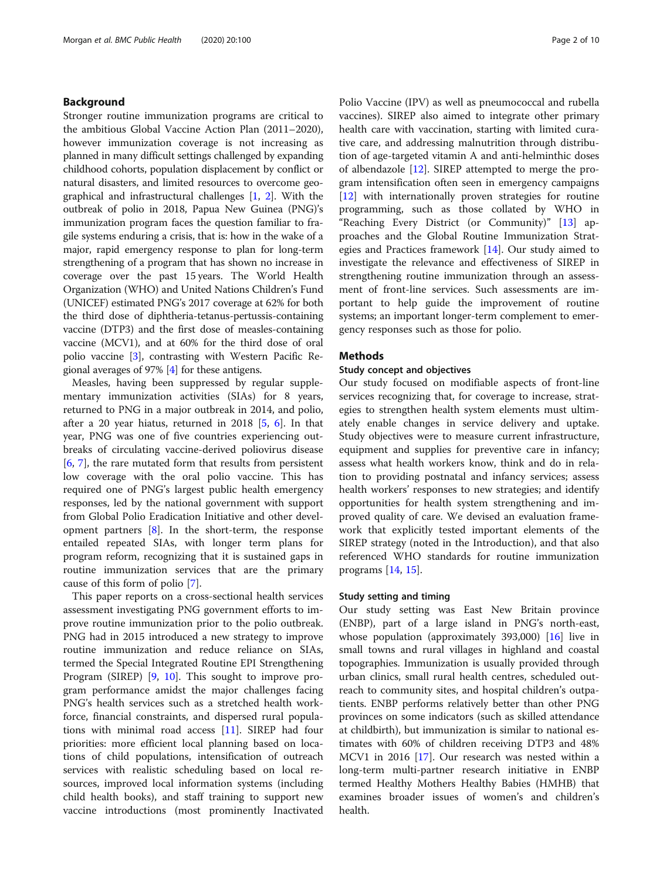#### Background

Stronger routine immunization programs are critical to the ambitious Global Vaccine Action Plan (2011–2020), however immunization coverage is not increasing as planned in many difficult settings challenged by expanding childhood cohorts, population displacement by conflict or natural disasters, and limited resources to overcome geographical and infrastructural challenges [\[1,](#page-8-0) [2](#page-8-0)]. With the outbreak of polio in 2018, Papua New Guinea (PNG)'s immunization program faces the question familiar to fragile systems enduring a crisis, that is: how in the wake of a major, rapid emergency response to plan for long-term strengthening of a program that has shown no increase in coverage over the past 15 years. The World Health Organization (WHO) and United Nations Children's Fund (UNICEF) estimated PNG's 2017 coverage at 62% for both the third dose of diphtheria-tetanus-pertussis-containing vaccine (DTP3) and the first dose of measles-containing vaccine (MCV1), and at 60% for the third dose of oral polio vaccine [\[3](#page-8-0)], contrasting with Western Pacific Regional averages of 97% [\[4](#page-8-0)] for these antigens.

Measles, having been suppressed by regular supplementary immunization activities (SIAs) for 8 years, returned to PNG in a major outbreak in 2014, and polio, after a 20 year hiatus, returned in 2018 [\[5,](#page-8-0) [6](#page-8-0)]. In that year, PNG was one of five countries experiencing outbreaks of circulating vaccine-derived poliovirus disease [[6,](#page-8-0) [7](#page-8-0)], the rare mutated form that results from persistent low coverage with the oral polio vaccine. This has required one of PNG's largest public health emergency responses, led by the national government with support from Global Polio Eradication Initiative and other development partners [\[8](#page-8-0)]. In the short-term, the response entailed repeated SIAs, with longer term plans for program reform, recognizing that it is sustained gaps in routine immunization services that are the primary cause of this form of polio [[7\]](#page-8-0).

This paper reports on a cross-sectional health services assessment investigating PNG government efforts to improve routine immunization prior to the polio outbreak. PNG had in 2015 introduced a new strategy to improve routine immunization and reduce reliance on SIAs, termed the Special Integrated Routine EPI Strengthening Program (SIREP) [[9,](#page-8-0) [10](#page-8-0)]. This sought to improve program performance amidst the major challenges facing PNG's health services such as a stretched health workforce, financial constraints, and dispersed rural populations with minimal road access [\[11\]](#page-8-0). SIREP had four priorities: more efficient local planning based on locations of child populations, intensification of outreach services with realistic scheduling based on local resources, improved local information systems (including child health books), and staff training to support new vaccine introductions (most prominently Inactivated Polio Vaccine (IPV) as well as pneumococcal and rubella vaccines). SIREP also aimed to integrate other primary health care with vaccination, starting with limited curative care, and addressing malnutrition through distribution of age-targeted vitamin A and anti-helminthic doses of albendazole [[12\]](#page-8-0). SIREP attempted to merge the program intensification often seen in emergency campaigns [[12\]](#page-8-0) with internationally proven strategies for routine programming, such as those collated by WHO in "Reaching Every District (or Community)" [\[13](#page-8-0)] approaches and the Global Routine Immunization Strategies and Practices framework [\[14](#page-8-0)]. Our study aimed to investigate the relevance and effectiveness of SIREP in strengthening routine immunization through an assessment of front-line services. Such assessments are important to help guide the improvement of routine systems; an important longer-term complement to emergency responses such as those for polio.

#### Methods

#### Study concept and objectives

Our study focused on modifiable aspects of front-line services recognizing that, for coverage to increase, strategies to strengthen health system elements must ultimately enable changes in service delivery and uptake. Study objectives were to measure current infrastructure, equipment and supplies for preventive care in infancy; assess what health workers know, think and do in relation to providing postnatal and infancy services; assess health workers' responses to new strategies; and identify opportunities for health system strengthening and improved quality of care. We devised an evaluation framework that explicitly tested important elements of the SIREP strategy (noted in the Introduction), and that also referenced WHO standards for routine immunization programs [[14](#page-8-0), [15](#page-8-0)].

#### Study setting and timing

Our study setting was East New Britain province (ENBP), part of a large island in PNG's north-east, whose population (approximately 393,000) [[16](#page-8-0)] live in small towns and rural villages in highland and coastal topographies. Immunization is usually provided through urban clinics, small rural health centres, scheduled outreach to community sites, and hospital children's outpatients. ENBP performs relatively better than other PNG provinces on some indicators (such as skilled attendance at childbirth), but immunization is similar to national estimates with 60% of children receiving DTP3 and 48% MCV1 in 2016 [[17](#page-8-0)]. Our research was nested within a long-term multi-partner research initiative in ENBP termed Healthy Mothers Healthy Babies (HMHB) that examines broader issues of women's and children's health.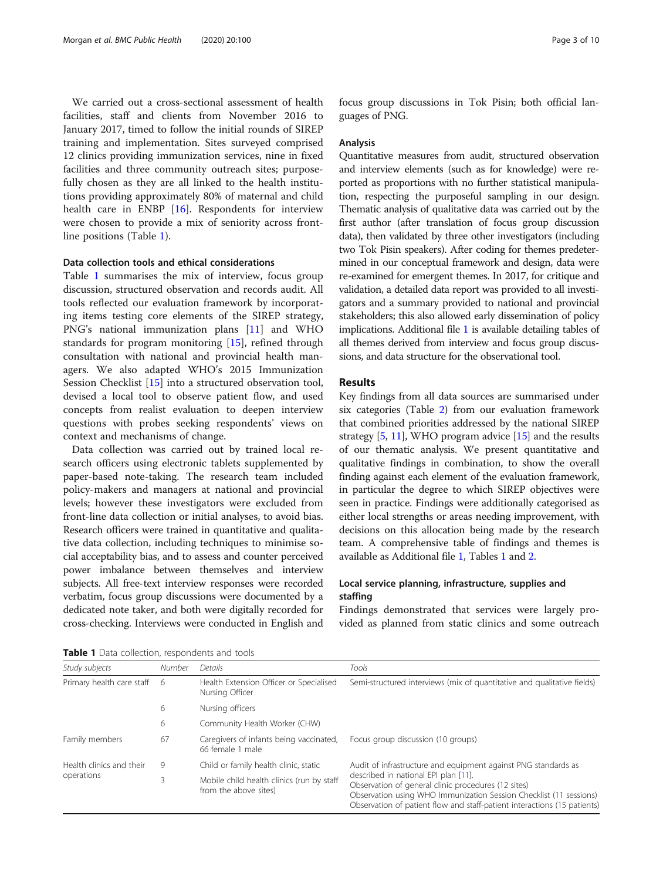We carried out a cross-sectional assessment of health facilities, staff and clients from November 2016 to January 2017, timed to follow the initial rounds of SIREP training and implementation. Sites surveyed comprised 12 clinics providing immunization services, nine in fixed facilities and three community outreach sites; purposefully chosen as they are all linked to the health institutions providing approximately 80% of maternal and child health care in ENBP [\[16\]](#page-8-0). Respondents for interview were chosen to provide a mix of seniority across frontline positions (Table 1).

#### Data collection tools and ethical considerations

Table 1 summarises the mix of interview, focus group discussion, structured observation and records audit. All tools reflected our evaluation framework by incorporating items testing core elements of the SIREP strategy, PNG's national immunization plans [\[11\]](#page-8-0) and WHO standards for program monitoring [[15\]](#page-8-0), refined through consultation with national and provincial health managers. We also adapted WHO's 2015 Immunization Session Checklist [[15\]](#page-8-0) into a structured observation tool, devised a local tool to observe patient flow, and used concepts from realist evaluation to deepen interview questions with probes seeking respondents' views on context and mechanisms of change.

Data collection was carried out by trained local research officers using electronic tablets supplemented by paper-based note-taking. The research team included policy-makers and managers at national and provincial levels; however these investigators were excluded from front-line data collection or initial analyses, to avoid bias. Research officers were trained in quantitative and qualitative data collection, including techniques to minimise social acceptability bias, and to assess and counter perceived power imbalance between themselves and interview subjects. All free-text interview responses were recorded verbatim, focus group discussions were documented by a dedicated note taker, and both were digitally recorded for cross-checking. Interviews were conducted in English and focus group discussions in Tok Pisin; both official languages of PNG.

#### Analysis

Quantitative measures from audit, structured observation and interview elements (such as for knowledge) were reported as proportions with no further statistical manipulation, respecting the purposeful sampling in our design. Thematic analysis of qualitative data was carried out by the first author (after translation of focus group discussion data), then validated by three other investigators (including two Tok Pisin speakers). After coding for themes predetermined in our conceptual framework and design, data were re-examined for emergent themes. In 2017, for critique and validation, a detailed data report was provided to all investigators and a summary provided to national and provincial stakeholders; this also allowed early dissemination of policy implications. Additional file [1](#page-7-0) is available detailing tables of all themes derived from interview and focus group discussions, and data structure for the observational tool.

### Results

Key findings from all data sources are summarised under six categories (Table [2\)](#page-3-0) from our evaluation framework that combined priorities addressed by the national SIREP strategy [[5](#page-8-0), [11\]](#page-8-0), WHO program advice [\[15\]](#page-8-0) and the results of our thematic analysis. We present quantitative and qualitative findings in combination, to show the overall finding against each element of the evaluation framework, in particular the degree to which SIREP objectives were seen in practice. Findings were additionally categorised as either local strengths or areas needing improvement, with decisions on this allocation being made by the research team. A comprehensive table of findings and themes is available as Additional file [1](#page-7-0), Tables 1 and [2.](#page-3-0)

#### Local service planning, infrastructure, supplies and staffing

Findings demonstrated that services were largely provided as planned from static clinics and some outreach

| Study subjects                         | <b>Number</b> | Details                                                            | Tools                                                                                                                                                                                                                                         |  |  |
|----------------------------------------|---------------|--------------------------------------------------------------------|-----------------------------------------------------------------------------------------------------------------------------------------------------------------------------------------------------------------------------------------------|--|--|
| Primary health care staff 6            |               | Health Extension Officer or Specialised<br>Nursing Officer         | Semi-structured interviews (mix of quantitative and qualitative fields)                                                                                                                                                                       |  |  |
|                                        | 6             | Nursing officers                                                   |                                                                                                                                                                                                                                               |  |  |
|                                        | 6             | Community Health Worker (CHW)                                      |                                                                                                                                                                                                                                               |  |  |
| Family members                         | 67            | Caregivers of infants being vaccinated,<br>66 female 1 male        | Focus group discussion (10 groups)                                                                                                                                                                                                            |  |  |
| Health clinics and their<br>operations | 9             | Child or family health clinic, static                              | Audit of infrastructure and equipment against PNG standards as                                                                                                                                                                                |  |  |
|                                        |               | Mobile child health clinics (run by staff<br>from the above sites) | described in national EPI plan [11].<br>Observation of general clinic procedures (12 sites)<br>Observation using WHO Immunization Session Checklist (11 sessions)<br>Observation of patient flow and staff-patient interactions (15 patients) |  |  |

Table 1 Data collection, respondents and tools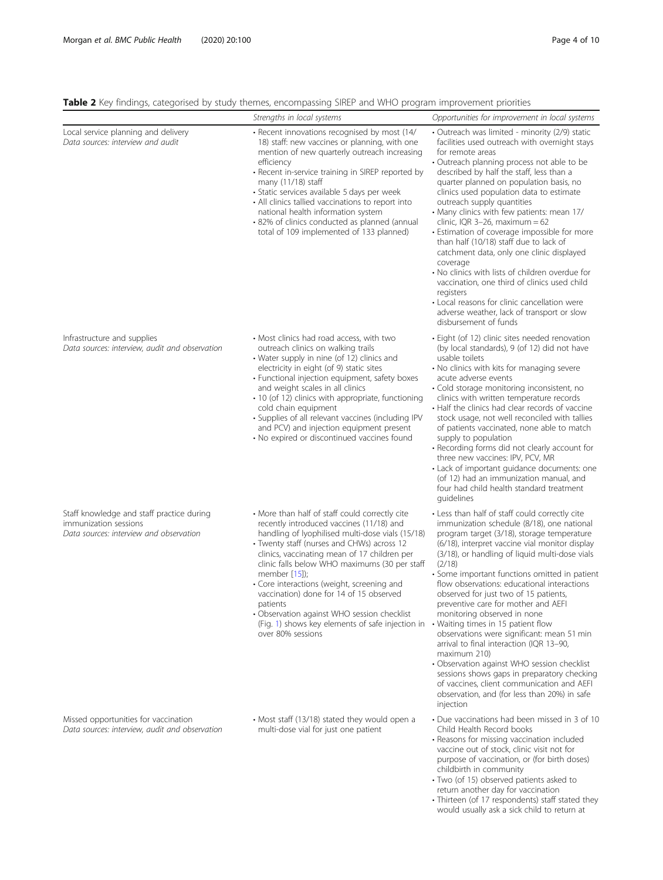<span id="page-3-0"></span>

|  | <b>Table 2</b> Key findings, categorised by study themes, encompassing SIREP and WHO program improvement priorities |  |  |  |  |
|--|---------------------------------------------------------------------------------------------------------------------|--|--|--|--|
|  |                                                                                                                     |  |  |  |  |

|                                                                                                               | Strengths in local systems                                                                                                                                                                                                                                                                                                                                                                                                                                                                                                                  | Opportunities for improvement in local systems                                                                                                                                                                                                                                                                                                                                                                                                                                                                                                                                                                                                                                                                                                                                                                                   |
|---------------------------------------------------------------------------------------------------------------|---------------------------------------------------------------------------------------------------------------------------------------------------------------------------------------------------------------------------------------------------------------------------------------------------------------------------------------------------------------------------------------------------------------------------------------------------------------------------------------------------------------------------------------------|----------------------------------------------------------------------------------------------------------------------------------------------------------------------------------------------------------------------------------------------------------------------------------------------------------------------------------------------------------------------------------------------------------------------------------------------------------------------------------------------------------------------------------------------------------------------------------------------------------------------------------------------------------------------------------------------------------------------------------------------------------------------------------------------------------------------------------|
| Local service planning and delivery<br>Data sources: interview and audit                                      | · Recent innovations recognised by most (14/<br>18) staff: new vaccines or planning, with one<br>mention of new quarterly outreach increasing<br>efficiency<br>• Recent in-service training in SIREP reported by<br>many (11/18) staff<br>· Static services available 5 days per week<br>• All clinics tallied vaccinations to report into<br>national health information system<br>• 82% of clinics conducted as planned (annual<br>total of 109 implemented of 133 planned)                                                               | · Outreach was limited - minority (2/9) static<br>facilities used outreach with overnight stays<br>for remote areas<br>• Outreach planning process not able to be<br>described by half the staff, less than a<br>quarter planned on population basis, no<br>clinics used population data to estimate<br>outreach supply quantities<br>• Many clinics with few patients: mean 17/<br>clinic, IQR 3-26, maximum = $62$<br>• Estimation of coverage impossible for more<br>than half (10/18) staff due to lack of<br>catchment data, only one clinic displayed<br>coverage<br>• No clinics with lists of children overdue for<br>vaccination, one third of clinics used child<br>registers<br>• Local reasons for clinic cancellation were<br>adverse weather, lack of transport or slow<br>disbursement of funds                   |
| Infrastructure and supplies<br>Data sources: interview, audit and observation                                 | • Most clinics had road access, with two<br>outreach clinics on walking trails<br>• Water supply in nine (of 12) clinics and<br>electricity in eight (of 9) static sites<br>• Functional injection equipment, safety boxes<br>and weight scales in all clinics<br>• 10 (of 12) clinics with appropriate, functioning<br>cold chain equipment<br>· Supplies of all relevant vaccines (including IPV<br>and PCV) and injection equipment present<br>• No expired or discontinued vaccines found                                               | · Eight (of 12) clinic sites needed renovation<br>(by local standards), 9 (of 12) did not have<br>usable toilets<br>• No clinics with kits for managing severe<br>acute adverse events<br>· Cold storage monitoring inconsistent, no<br>clinics with written temperature records<br>• Half the clinics had clear records of vaccine<br>stock usage, not well reconciled with tallies<br>of patients vaccinated, none able to match<br>supply to population<br>· Recording forms did not clearly account for<br>three new vaccines: IPV, PCV, MR<br>• Lack of important quidance documents: one<br>(of 12) had an immunization manual, and<br>four had child health standard treatment<br>quidelines                                                                                                                              |
| Staff knowledge and staff practice during<br>immunization sessions<br>Data sources: interview and observation | • More than half of staff could correctly cite<br>recently introduced vaccines (11/18) and<br>handling of lyophilised multi-dose vials (15/18)<br>· Twenty staff (nurses and CHWs) across 12<br>clinics, vaccinating mean of 17 children per<br>clinic falls below WHO maximums (30 per staff<br>member [15]);<br>• Core interactions (weight, screening and<br>vaccination) done for 14 of 15 observed<br>patients<br>• Observation against WHO session checklist<br>(Fig. 1) shows key elements of safe injection in<br>over 80% sessions | • Less than half of staff could correctly cite<br>immunization schedule (8/18), one national<br>program target (3/18), storage temperature<br>(6/18), interpret vaccine vial monitor display<br>(3/18), or handling of liquid multi-dose vials<br>(2/18)<br>• Some important functions omitted in patient<br>flow observations: educational interactions<br>observed for just two of 15 patients,<br>preventive care for mother and AEFI<br>monitoring observed in none<br>• Waiting times in 15 patient flow<br>observations were significant: mean 51 min<br>arrival to final interaction (IQR 13-90,<br>maximum 210)<br>• Observation against WHO session checklist<br>sessions shows gaps in preparatory checking<br>of vaccines, client communication and AEFI<br>observation, and (for less than 20%) in safe<br>injection |
| Missed opportunities for vaccination<br>Data sources: interview, audit and observation                        | • Most staff (13/18) stated they would open a<br>multi-dose vial for just one patient                                                                                                                                                                                                                                                                                                                                                                                                                                                       | • Due vaccinations had been missed in 3 of 10<br>Child Health Record books<br>• Reasons for missing vaccination included<br>vaccine out of stock, clinic visit not for<br>purpose of vaccination, or (for birth doses)<br>childbirth in community<br>• Two (of 15) observed patients asked to                                                                                                                                                                                                                                                                                                                                                                                                                                                                                                                                    |

return another day for vaccination • Thirteen (of 17 respondents) staff stated they would usually ask a sick child to return at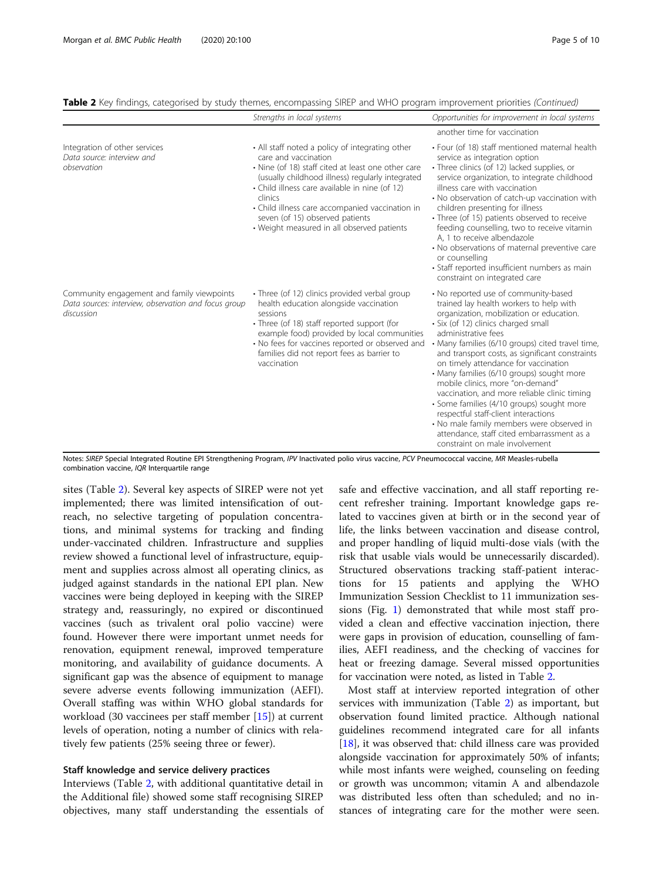| Table 2 Key findings, categorised by study themes, encompassing SIREP and WHO program improvement priorities (Continued) |  |  |  |
|--------------------------------------------------------------------------------------------------------------------------|--|--|--|
|--------------------------------------------------------------------------------------------------------------------------|--|--|--|

|                                                                                                                  | Strengths in local systems                                                                                                                                                                                                                                                                                                                                                         | Opportunities for improvement in local systems                                                                                                                                                                                                                                                                                                                                                                                                                                                                                                                                                                                                                                              |
|------------------------------------------------------------------------------------------------------------------|------------------------------------------------------------------------------------------------------------------------------------------------------------------------------------------------------------------------------------------------------------------------------------------------------------------------------------------------------------------------------------|---------------------------------------------------------------------------------------------------------------------------------------------------------------------------------------------------------------------------------------------------------------------------------------------------------------------------------------------------------------------------------------------------------------------------------------------------------------------------------------------------------------------------------------------------------------------------------------------------------------------------------------------------------------------------------------------|
|                                                                                                                  |                                                                                                                                                                                                                                                                                                                                                                                    | another time for vaccination                                                                                                                                                                                                                                                                                                                                                                                                                                                                                                                                                                                                                                                                |
| Integration of other services<br>Data source: interview and<br>observation                                       | • All staff noted a policy of integrating other<br>care and vaccination<br>• Nine (of 18) staff cited at least one other care<br>(usually childhood illness) regularly integrated<br>• Child illness care available in nine (of 12)<br>clinics<br>• Child illness care accompanied vaccination in<br>seven (of 15) observed patients<br>• Weight measured in all observed patients | • Four (of 18) staff mentioned maternal health<br>service as integration option<br>· Three clinics (of 12) lacked supplies, or<br>service organization, to integrate childhood<br>illness care with vaccination<br>• No observation of catch-up vaccination with<br>children presenting for illness<br>· Three (of 15) patients observed to receive<br>feeding counselling, two to receive vitamin<br>A, 1 to receive albendazole<br>• No observations of maternal preventive care<br>or counselling<br>· Staff reported insufficient numbers as main<br>constraint on integrated care                                                                                                      |
| Community engagement and family viewpoints<br>Data sources: interview, observation and focus group<br>discussion | • Three (of 12) clinics provided verbal group<br>health education alongside vaccination<br>sessions<br>• Three (of 18) staff reported support (for<br>example food) provided by local communities<br>• No fees for vaccines reported or observed and<br>families did not report fees as barrier to<br>vaccination                                                                  | • No reported use of community-based<br>trained lay health workers to help with<br>organization, mobilization or education.<br>· Six (of 12) clinics charged small<br>administrative fees<br>· Many families (6/10 groups) cited travel time,<br>and transport costs, as significant constraints<br>on timely attendance for vaccination<br>· Many families (6/10 groups) sought more<br>mobile clinics, more "on-demand"<br>vaccination, and more reliable clinic timing<br>• Some families (4/10 groups) sought more<br>respectful staff-client interactions<br>• No male family members were observed in<br>attendance, staff cited embarrassment as a<br>constraint on male involvement |

Notes: SIREP Special Integrated Routine EPI Strengthening Program, IPV Inactivated polio virus vaccine, PCV Pneumococcal vaccine, MR Measles-rubella combination vaccine, IQR Interquartile range

sites (Table [2](#page-3-0)). Several key aspects of SIREP were not yet implemented; there was limited intensification of outreach, no selective targeting of population concentrations, and minimal systems for tracking and finding under-vaccinated children. Infrastructure and supplies review showed a functional level of infrastructure, equipment and supplies across almost all operating clinics, as judged against standards in the national EPI plan. New vaccines were being deployed in keeping with the SIREP strategy and, reassuringly, no expired or discontinued vaccines (such as trivalent oral polio vaccine) were found. However there were important unmet needs for renovation, equipment renewal, improved temperature monitoring, and availability of guidance documents. A significant gap was the absence of equipment to manage severe adverse events following immunization (AEFI). Overall staffing was within WHO global standards for workload (30 vaccinees per staff member [[15\]](#page-8-0)) at current levels of operation, noting a number of clinics with relatively few patients (25% seeing three or fewer).

#### Staff knowledge and service delivery practices

Interviews (Table [2,](#page-3-0) with additional quantitative detail in the Additional file) showed some staff recognising SIREP objectives, many staff understanding the essentials of safe and effective vaccination, and all staff reporting recent refresher training. Important knowledge gaps related to vaccines given at birth or in the second year of life, the links between vaccination and disease control, and proper handling of liquid multi-dose vials (with the risk that usable vials would be unnecessarily discarded). Structured observations tracking staff-patient interactions for 15 patients and applying the WHO Immunization Session Checklist to 11 immunization sessions (Fig. [1\)](#page-5-0) demonstrated that while most staff provided a clean and effective vaccination injection, there were gaps in provision of education, counselling of families, AEFI readiness, and the checking of vaccines for heat or freezing damage. Several missed opportunities for vaccination were noted, as listed in Table [2.](#page-3-0)

Most staff at interview reported integration of other services with immunization (Table [2](#page-3-0)) as important, but observation found limited practice. Although national guidelines recommend integrated care for all infants [[18\]](#page-8-0), it was observed that: child illness care was provided alongside vaccination for approximately 50% of infants; while most infants were weighed, counseling on feeding or growth was uncommon; vitamin A and albendazole was distributed less often than scheduled; and no instances of integrating care for the mother were seen.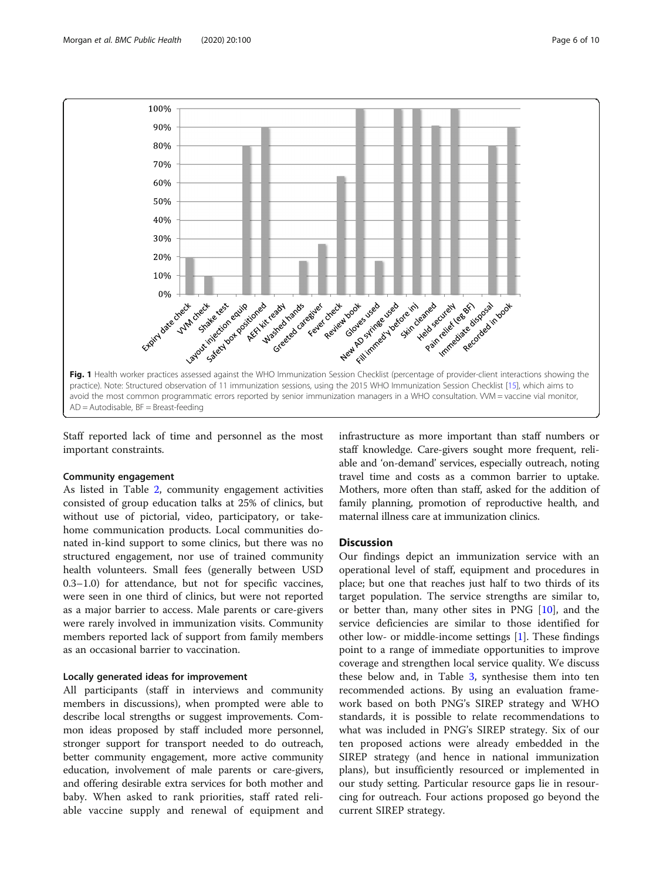<span id="page-5-0"></span>

Staff reported lack of time and personnel as the most important constraints.

#### Community engagement

As listed in Table [2](#page-3-0), community engagement activities consisted of group education talks at 25% of clinics, but without use of pictorial, video, participatory, or takehome communication products. Local communities donated in-kind support to some clinics, but there was no structured engagement, nor use of trained community health volunteers. Small fees (generally between USD 0.3–1.0) for attendance, but not for specific vaccines, were seen in one third of clinics, but were not reported as a major barrier to access. Male parents or care-givers were rarely involved in immunization visits. Community members reported lack of support from family members as an occasional barrier to vaccination.

#### Locally generated ideas for improvement

All participants (staff in interviews and community members in discussions), when prompted were able to describe local strengths or suggest improvements. Common ideas proposed by staff included more personnel, stronger support for transport needed to do outreach, better community engagement, more active community education, involvement of male parents or care-givers, and offering desirable extra services for both mother and baby. When asked to rank priorities, staff rated reliable vaccine supply and renewal of equipment and

infrastructure as more important than staff numbers or staff knowledge. Care-givers sought more frequent, reliable and 'on-demand' services, especially outreach, noting travel time and costs as a common barrier to uptake. Mothers, more often than staff, asked for the addition of family planning, promotion of reproductive health, and maternal illness care at immunization clinics.

#### **Discussion**

Our findings depict an immunization service with an operational level of staff, equipment and procedures in place; but one that reaches just half to two thirds of its target population. The service strengths are similar to, or better than, many other sites in PNG [[10](#page-8-0)], and the service deficiencies are similar to those identified for other low- or middle-income settings [\[1\]](#page-8-0). These findings point to a range of immediate opportunities to improve coverage and strengthen local service quality. We discuss these below and, in Table [3](#page-6-0), synthesise them into ten recommended actions. By using an evaluation framework based on both PNG's SIREP strategy and WHO standards, it is possible to relate recommendations to what was included in PNG's SIREP strategy. Six of our ten proposed actions were already embedded in the SIREP strategy (and hence in national immunization plans), but insufficiently resourced or implemented in our study setting. Particular resource gaps lie in resourcing for outreach. Four actions proposed go beyond the current SIREP strategy.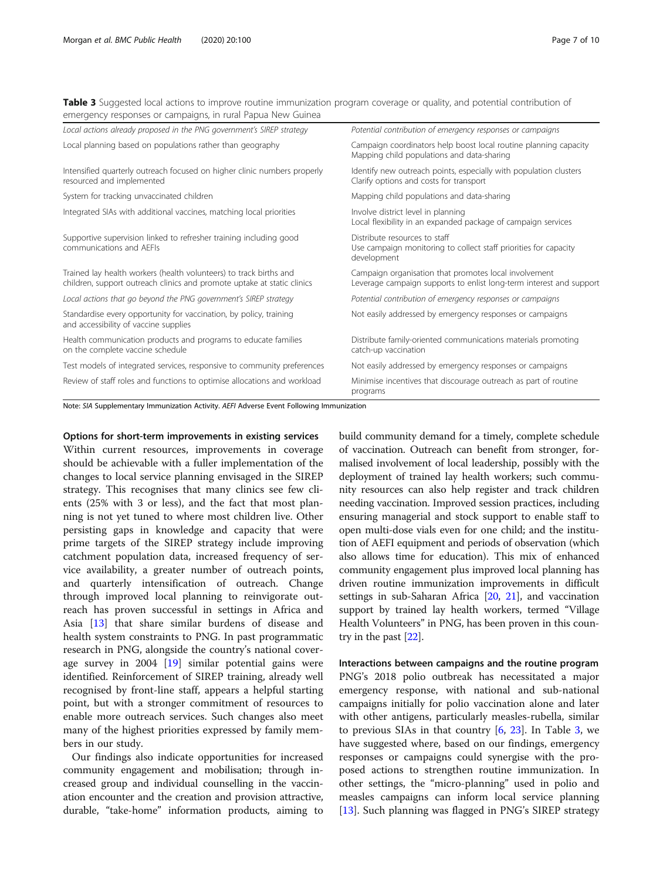<span id="page-6-0"></span>Table 3 Suggested local actions to improve routine immunization program coverage or quality, and potential contribution of emergency responses or campaigns, in rural Papua New Guinea

| Local actions already proposed in the PNG government's SIREP strategy                                                                         | Potential contribution of emergency responses or campaigns                                                                   |
|-----------------------------------------------------------------------------------------------------------------------------------------------|------------------------------------------------------------------------------------------------------------------------------|
| Local planning based on populations rather than geography                                                                                     | Campaign coordinators help boost local routine planning capacity<br>Mapping child populations and data-sharing               |
| Intensified quarterly outreach focused on higher clinic numbers properly<br>resourced and implemented                                         | Identify new outreach points, especially with population clusters<br>Clarify options and costs for transport                 |
| System for tracking unvaccinated children                                                                                                     | Mapping child populations and data-sharing                                                                                   |
| Integrated SIAs with additional vaccines, matching local priorities                                                                           | Involve district level in planning<br>Local flexibility in an expanded package of campaign services                          |
| Supportive supervision linked to refresher training including good<br>communications and AEFIs                                                | Distribute resources to staff<br>Use campaign monitoring to collect staff priorities for capacity<br>development             |
| Trained lay health workers (health volunteers) to track births and<br>children, support outreach clinics and promote uptake at static clinics | Campaign organisation that promotes local involvement<br>Leverage campaign supports to enlist long-term interest and support |
| Local actions that go beyond the PNG government's SIREP strategy                                                                              | Potential contribution of emergency responses or campaigns                                                                   |
| Standardise every opportunity for vaccination, by policy, training<br>and accessibility of vaccine supplies                                   | Not easily addressed by emergency responses or campaigns                                                                     |
| Health communication products and programs to educate families<br>on the complete vaccine schedule                                            | Distribute family-oriented communications materials promoting<br>catch-up vaccination                                        |
| Test models of integrated services, responsive to community preferences                                                                       | Not easily addressed by emergency responses or campaigns                                                                     |
| Review of staff roles and functions to optimise allocations and workload                                                                      | Minimise incentives that discourage outreach as part of routine<br>programs                                                  |

Note: SIA Supplementary Immunization Activity. AEFI Adverse Event Following Immunization

Options for short-term improvements in existing services Within current resources, improvements in coverage should be achievable with a fuller implementation of the changes to local service planning envisaged in the SIREP strategy. This recognises that many clinics see few clients (25% with 3 or less), and the fact that most planning is not yet tuned to where most children live. Other persisting gaps in knowledge and capacity that were prime targets of the SIREP strategy include improving catchment population data, increased frequency of service availability, a greater number of outreach points, and quarterly intensification of outreach. Change through improved local planning to reinvigorate outreach has proven successful in settings in Africa and Asia [[13\]](#page-8-0) that share similar burdens of disease and health system constraints to PNG. In past programmatic research in PNG, alongside the country's national coverage survey in 2004 [\[19](#page-8-0)] similar potential gains were identified. Reinforcement of SIREP training, already well recognised by front-line staff, appears a helpful starting point, but with a stronger commitment of resources to enable more outreach services. Such changes also meet many of the highest priorities expressed by family members in our study.

Our findings also indicate opportunities for increased community engagement and mobilisation; through increased group and individual counselling in the vaccination encounter and the creation and provision attractive, durable, "take-home" information products, aiming to build community demand for a timely, complete schedule of vaccination. Outreach can benefit from stronger, formalised involvement of local leadership, possibly with the deployment of trained lay health workers; such community resources can also help register and track children needing vaccination. Improved session practices, including ensuring managerial and stock support to enable staff to open multi-dose vials even for one child; and the institution of AEFI equipment and periods of observation (which also allows time for education). This mix of enhanced community engagement plus improved local planning has driven routine immunization improvements in difficult settings in sub-Saharan Africa [\[20,](#page-8-0) [21](#page-8-0)], and vaccination support by trained lay health workers, termed "Village Health Volunteers" in PNG, has been proven in this country in the past [\[22\]](#page-8-0).

Interactions between campaigns and the routine program PNG's 2018 polio outbreak has necessitated a major emergency response, with national and sub-national campaigns initially for polio vaccination alone and later with other antigens, particularly measles-rubella, similar to previous SIAs in that country  $[6, 23]$  $[6, 23]$  $[6, 23]$  $[6, 23]$  $[6, 23]$ . In Table 3, we have suggested where, based on our findings, emergency responses or campaigns could synergise with the proposed actions to strengthen routine immunization. In other settings, the "micro-planning" used in polio and measles campaigns can inform local service planning [[13\]](#page-8-0). Such planning was flagged in PNG's SIREP strategy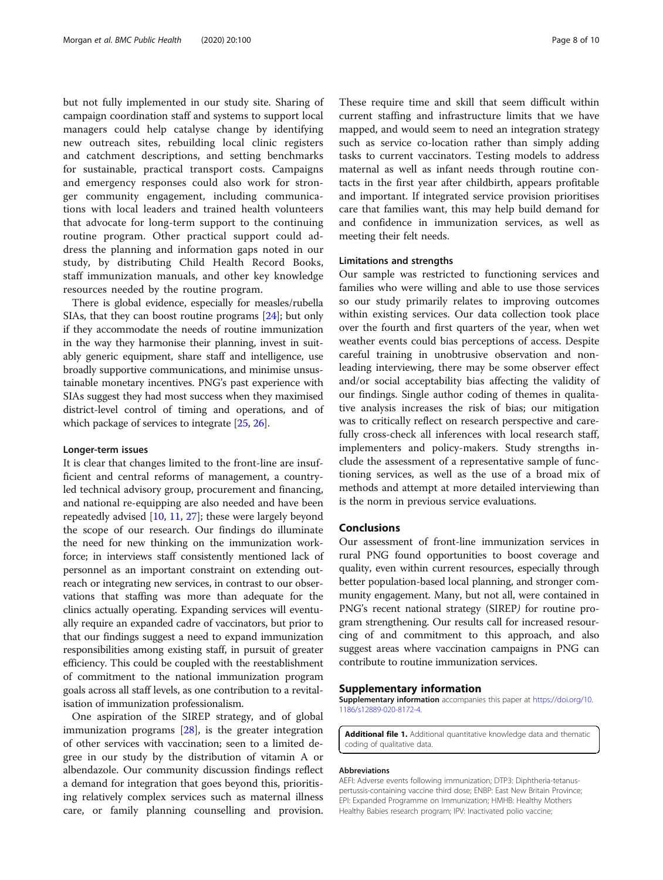<span id="page-7-0"></span>but not fully implemented in our study site. Sharing of campaign coordination staff and systems to support local managers could help catalyse change by identifying new outreach sites, rebuilding local clinic registers and catchment descriptions, and setting benchmarks for sustainable, practical transport costs. Campaigns and emergency responses could also work for stronger community engagement, including communications with local leaders and trained health volunteers that advocate for long-term support to the continuing routine program. Other practical support could address the planning and information gaps noted in our study, by distributing Child Health Record Books, staff immunization manuals, and other key knowledge resources needed by the routine program.

There is global evidence, especially for measles/rubella SIAs, that they can boost routine programs [[24](#page-9-0)]; but only if they accommodate the needs of routine immunization in the way they harmonise their planning, invest in suitably generic equipment, share staff and intelligence, use broadly supportive communications, and minimise unsustainable monetary incentives. PNG's past experience with SIAs suggest they had most success when they maximised district-level control of timing and operations, and of which package of services to integrate [\[25,](#page-9-0) [26](#page-9-0)].

#### Longer-term issues

It is clear that changes limited to the front-line are insufficient and central reforms of management, a countryled technical advisory group, procurement and financing, and national re-equipping are also needed and have been repeatedly advised [\[10](#page-8-0), [11](#page-8-0), [27\]](#page-9-0); these were largely beyond the scope of our research. Our findings do illuminate the need for new thinking on the immunization workforce; in interviews staff consistently mentioned lack of personnel as an important constraint on extending outreach or integrating new services, in contrast to our observations that staffing was more than adequate for the clinics actually operating. Expanding services will eventually require an expanded cadre of vaccinators, but prior to that our findings suggest a need to expand immunization responsibilities among existing staff, in pursuit of greater efficiency. This could be coupled with the reestablishment of commitment to the national immunization program goals across all staff levels, as one contribution to a revitalisation of immunization professionalism.

One aspiration of the SIREP strategy, and of global immunization programs [[28\]](#page-9-0), is the greater integration of other services with vaccination; seen to a limited degree in our study by the distribution of vitamin A or albendazole. Our community discussion findings reflect a demand for integration that goes beyond this, prioritising relatively complex services such as maternal illness care, or family planning counselling and provision.

These require time and skill that seem difficult within current staffing and infrastructure limits that we have mapped, and would seem to need an integration strategy such as service co-location rather than simply adding tasks to current vaccinators. Testing models to address maternal as well as infant needs through routine contacts in the first year after childbirth, appears profitable and important. If integrated service provision prioritises care that families want, this may help build demand for and confidence in immunization services, as well as meeting their felt needs.

#### Limitations and strengths

Our sample was restricted to functioning services and families who were willing and able to use those services so our study primarily relates to improving outcomes within existing services. Our data collection took place over the fourth and first quarters of the year, when wet weather events could bias perceptions of access. Despite careful training in unobtrusive observation and nonleading interviewing, there may be some observer effect and/or social acceptability bias affecting the validity of our findings. Single author coding of themes in qualitative analysis increases the risk of bias; our mitigation was to critically reflect on research perspective and carefully cross-check all inferences with local research staff, implementers and policy-makers. Study strengths include the assessment of a representative sample of functioning services, as well as the use of a broad mix of methods and attempt at more detailed interviewing than is the norm in previous service evaluations.

#### Conclusions

Our assessment of front-line immunization services in rural PNG found opportunities to boost coverage and quality, even within current resources, especially through better population-based local planning, and stronger community engagement. Many, but not all, were contained in PNG's recent national strategy (SIREP) for routine program strengthening. Our results call for increased resourcing of and commitment to this approach, and also suggest areas where vaccination campaigns in PNG can contribute to routine immunization services.

#### Supplementary information

Supplementary information accompanies this paper at [https://doi.org/10.](https://doi.org/10.1186/s12889-020-8172-4) [1186/s12889-020-8172-4.](https://doi.org/10.1186/s12889-020-8172-4)

Additional file 1. Additional quantitative knowledge data and thematic coding of qualitative data.

#### Abbreviations

AEFI: Adverse events following immunization; DTP3: Diphtheria-tetanuspertussis-containing vaccine third dose; ENBP: East New Britain Province; EPI: Expanded Programme on Immunization; HMHB: Healthy Mothers Healthy Babies research program; IPV: Inactivated polio vaccine;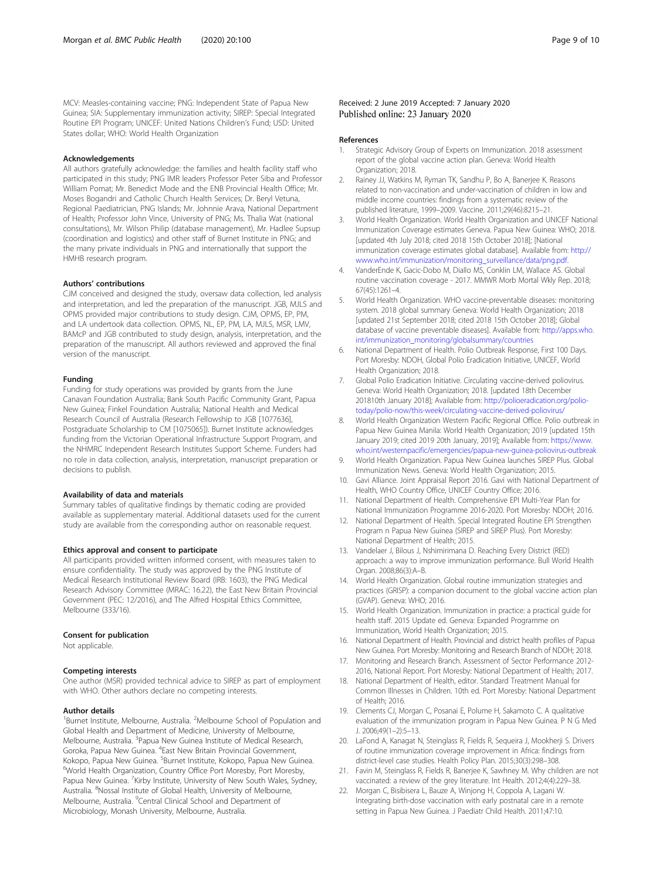<span id="page-8-0"></span>MCV: Measles-containing vaccine; PNG: Independent State of Papua New Guinea; SIA: Supplementary immunization activity; SIREP: Special Integrated Routine EPI Program; UNICEF: United Nations Children's Fund; USD: United States dollar; WHO: World Health Organization

#### Acknowledgements

All authors gratefully acknowledge: the families and health facility staff who participated in this study; PNG IMR leaders Professor Peter Siba and Professor William Pomat; Mr. Benedict Mode and the ENB Provincial Health Office; Mr. Moses Bogandri and Catholic Church Health Services; Dr. Beryl Vetuna, Regional Paediatrician, PNG Islands; Mr. Johnnie Arava, National Department of Health; Professor John Vince, University of PNG; Ms. Thalia Wat (national consultations), Mr. Wilson Philip (database management), Mr. Hadlee Supsup (coordination and logistics) and other staff of Burnet Institute in PNG; and the many private individuals in PNG and internationally that support the HMHB research program.

#### Authors' contributions

CJM conceived and designed the study, oversaw data collection, led analysis and interpretation, and led the preparation of the manuscript. JGB, MJLS and OPMS provided major contributions to study design. CJM, OPMS, EP, PM, and LA undertook data collection. OPMS, NL, EP, PM, LA, MJLS, MSR, LMV, BAMcP and JGB contributed to study design, analysis, interpretation, and the preparation of the manuscript. All authors reviewed and approved the final version of the manuscript.

#### Funding

Funding for study operations was provided by grants from the June Canavan Foundation Australia; Bank South Pacific Community Grant, Papua New Guinea; Finkel Foundation Australia; National Health and Medical Research Council of Australia (Research Fellowship to JGB [1077636], Postgraduate Scholarship to CM [1075065]). Burnet Institute acknowledges funding from the Victorian Operational Infrastructure Support Program, and the NHMRC Independent Research Institutes Support Scheme. Funders had no role in data collection, analysis, interpretation, manuscript preparation or decisions to publish.

#### Availability of data and materials

Summary tables of qualitative findings by thematic coding are provided available as supplementary material. Additional datasets used for the current study are available from the corresponding author on reasonable request.

#### Ethics approval and consent to participate

All participants provided written informed consent, with measures taken to ensure confidentiality. The study was approved by the PNG Institute of Medical Research Institutional Review Board (IRB: 1603), the PNG Medical Research Advisory Committee (MRAC: 16.22), the East New Britain Provincial Government (PEC: 12/2016), and The Alfred Hospital Ethics Committee, Melbourne (333/16).

#### Consent for publication

Not applicable.

#### Competing interests

One author (MSR) provided technical advice to SIREP as part of employment with WHO. Other authors declare no competing interests.

#### Author details

<sup>1</sup>Burnet Institute, Melbourne, Australia. <sup>2</sup>Melbourne School of Population and Global Health and Department of Medicine, University of Melbourne, Melbourne, Australia. <sup>3</sup>Papua New Guinea Institute of Medical Research, Goroka, Papua New Guinea. <sup>4</sup>East New Britain Provincial Government, Kokopo, Papua New Guinea. <sup>5</sup>Burnet Institute, Kokopo, Papua New Guinea.<br><sup>6</sup>World Hoalth Organization. Country Office Bort Marechy. Port Marechy. World Health Organization, Country Office Port Moresby, Port Moresby, Papua New Guinea. <sup>7</sup> Kirby Institute, University of New South Wales, Sydney, Australia. <sup>8</sup>Nossal Institute of Global Health, University of Melbourne, Melbourne, Australia. <sup>9</sup>Central Clinical School and Department of Microbiology, Monash University, Melbourne, Australia.

#### References

- 1. Strategic Advisory Group of Experts on Immunization. 2018 assessment report of the global vaccine action plan. Geneva: World Health Organization; 2018.
- 2. Rainey JJ, Watkins M, Ryman TK, Sandhu P, Bo A, Banerjee K. Reasons related to non-vaccination and under-vaccination of children in low and middle income countries: findings from a systematic review of the published literature, 1999–2009. Vaccine. 2011;29(46):8215–21.
- 3. World Health Organization. World Health Organization and UNICEF National Immunization Coverage estimates Geneva. Papua New Guinea: WHO; 2018. [updated 4th July 2018; cited 2018 15th October 2018]; [National immunization coverage estimates global database]. Available from: [http://](http://www.who.int/immunization/monitoring_surveillance/data/png.pdf) [www.who.int/immunization/monitoring\\_surveillance/data/png.pdf.](http://www.who.int/immunization/monitoring_surveillance/data/png.pdf)
- 4. VanderEnde K, Gacic-Dobo M, Diallo MS, Conklin LM, Wallace AS. Global routine vaccination coverage - 2017. MMWR Morb Mortal Wkly Rep. 2018; 67(45):1261–4.
- 5. World Health Organization. WHO vaccine-preventable diseases: monitoring system. 2018 global summary Geneva: World Health Organization; 2018 [updated 21st September 2018; cited 2018 15th October 2018]; Global database of vaccine preventable diseases]. Available from: [http://apps.who.](http://apps.who.int/immunization_monitoring/globalsummary/countries) [int/immunization\\_monitoring/globalsummary/countries](http://apps.who.int/immunization_monitoring/globalsummary/countries)
- 6. National Department of Health. Polio Outbreak Response, First 100 Days. Port Moresby: NDOH, Global Polio Eradication Initiative, UNICEF, World Health Organization; 2018.
- 7. Global Polio Eradication Initiative. Circulating vaccine-derived poliovirus. Geneva: World Health Organization; 2018. [updated 18th December 201810th January 2018]; Available from: [http://polioeradication.org/polio](http://polioeradication.org/polio-today/polio-now/this-week/circulating-vaccine-derived-poliovirus/)[today/polio-now/this-week/circulating-vaccine-derived-poliovirus/](http://polioeradication.org/polio-today/polio-now/this-week/circulating-vaccine-derived-poliovirus/)
- 8. World Health Organization Western Pacific Regional Office. Polio outbreak in Papua New Guinea Manila: World Health Organization; 2019 [updated 15th January 2019; cited 2019 20th January, 2019]; Available from: [https://www.](https://www.who.int/westernpacific/emergencies/papua-new-guinea-poliovirus-outbreak) [who.int/westernpacific/emergencies/papua-new-guinea-poliovirus-outbreak](https://www.who.int/westernpacific/emergencies/papua-new-guinea-poliovirus-outbreak)
- 9. World Health Organization. Papua New Guinea launches SIREP Plus. Global Immunization News. Geneva: World Health Organization; 2015.
- 10. Gavi Alliance. Joint Appraisal Report 2016. Gavi with National Department of Health, WHO Country Office, UNICEF Country Office; 2016.
- 11. National Department of Health. Comprehensive EPI Multi-Year Plan for National Immunization Programme 2016-2020. Port Moresby: NDOH; 2016.
- 12. National Department of Health. Special Integrated Routine EPI Strengthen Program n Papua New Guinea (SIREP and SIREP Plus). Port Moresby: National Department of Health; 2015.
- 13. Vandelaer J, Bilous J, Nshimirimana D. Reaching Every District (RED) approach: a way to improve immunization performance. Bull World Health Organ. 2008;86(3):A–B.
- 14. World Health Organization. Global routine immunization strategies and practices (GRISP): a companion document to the global vaccine action plan (GVAP). Geneva: WHO; 2016.
- 15. World Health Organization. Immunization in practice: a practical guide for health staff. 2015 Update ed. Geneva: Expanded Programme on Immunization, World Health Organization; 2015.
- 16. National Department of Health. Provincial and district health profiles of Papua New Guinea. Port Moresby: Monitoring and Research Branch of NDOH; 2018.
- 17. Monitoring and Research Branch. Assessment of Sector Performance 2012- 2016, National Report. Port Moresby: National Department of Health; 2017.
- 18. National Department of Health, editor. Standard Treatment Manual for Common Illnesses in Children. 10th ed. Port Moresby: National Department of Health; 2016.
- 19. Clements CJ, Morgan C, Posanai E, Polume H, Sakamoto C. A qualitative evaluation of the immunization program in Papua New Guinea. P N G Med J. 2006;49(1–2):5–13.
- 20. LaFond A, Kanagat N, Steinglass R, Fields R, Sequeira J, Mookherji S. Drivers of routine immunization coverage improvement in Africa: findings from district-level case studies. Health Policy Plan. 2015;30(3):298–308.
- 21. Favin M, Steinglass R, Fields R, Banerjee K, Sawhney M. Why children are not vaccinated: a review of the grey literature. Int Health. 2012;4(4):229–38.
- 22. Morgan C, Bisibisera L, Bauze A, Winjong H, Coppola A, Lagani W. Integrating birth-dose vaccination with early postnatal care in a remote setting in Papua New Guinea. J Paediatr Child Health. 2011;47:10.